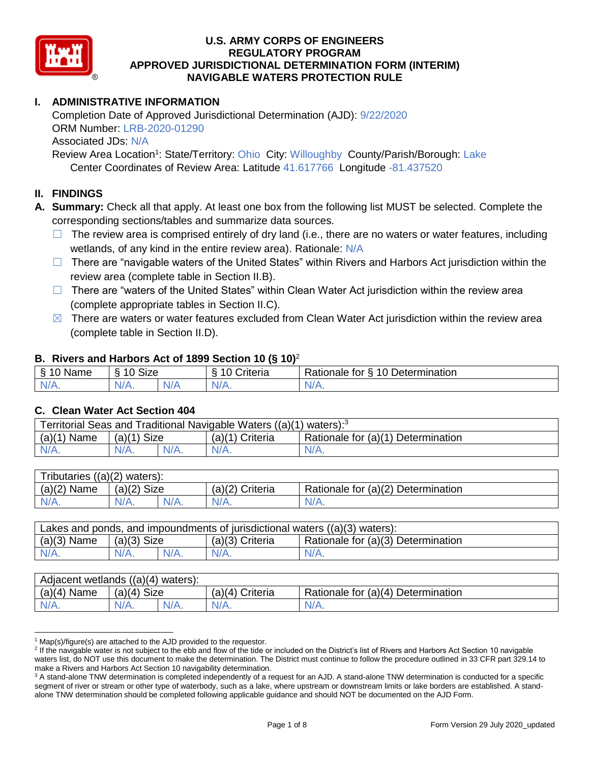

# **I. ADMINISTRATIVE INFORMATION**

Completion Date of Approved Jurisdictional Determination (AJD): 9/22/2020 ORM Number: LRB-2020-01290 Associated JDs: N/A

Review Area Location<sup>1</sup>: State/Territory: Ohio City: Willoughby County/Parish/Borough: Lake Center Coordinates of Review Area: Latitude 41.617766 Longitude -81.437520

# **II. FINDINGS**

**A. Summary:** Check all that apply. At least one box from the following list MUST be selected. Complete the corresponding sections/tables and summarize data sources.

- $\Box$  The review area is comprised entirely of dry land (i.e., there are no waters or water features, including wetlands, of any kind in the entire review area). Rationale: N/A
- $\Box$  There are "navigable waters of the United States" within Rivers and Harbors Act jurisdiction within the review area (complete table in Section II.B).
- $\Box$  There are "waters of the United States" within Clean Water Act jurisdiction within the review area (complete appropriate tables in Section II.C).
- $\boxtimes$  There are waters or water features excluded from Clean Water Act jurisdiction within the review area (complete table in Section II.D).

#### **B. Rivers and Harbors Act of 1899 Section 10 (§ 10)**<sup>2</sup>

|                          | . .                  |           |                                     |                                           |  |  |  |
|--------------------------|----------------------|-----------|-------------------------------------|-------------------------------------------|--|--|--|
| $\sim$<br>ame<br>``<br>÷ | $\sim$<br>10<br>oize |           | $\mathbf{r}$<br>10<br>-<br>;riteria | 10 Determination<br>-<br>tor<br>Rationale |  |  |  |
| $N/A$ .                  | -<br>11 I V.         | ALI.<br>. | $N/A$ .                             | N/A.                                      |  |  |  |

#### **C. Clean Water Act Section 404**

| Territorial Seas and Traditional Navigable Waters $((a)(1)$ waters): <sup>3</sup> |                |  |                 |                                    |  |
|-----------------------------------------------------------------------------------|----------------|--|-----------------|------------------------------------|--|
| (a)(1)<br>Name                                                                    | Size<br>(a)(1) |  | (a)(1) Criteria | Rationale for (a)(1) Determination |  |
|                                                                                   | $N/A$ .        |  | $N/A$ .         | $N/A$ .                            |  |

| Tributaries $((a)(2)$ waters): |                |      |                 |                                    |  |
|--------------------------------|----------------|------|-----------------|------------------------------------|--|
| $(a)(2)$ Name                  | Size<br>(a)(2) |      | (a)(2) Criteria | Rationale for (a)(2) Determination |  |
| $N/A$ .                        | $N/A$ .        | N/A. | $N/A$ .         | N/A.                               |  |

| Lakes and ponds, and impoundments of jurisdictional waters $((a)(3)$ waters): |               |         |                   |                                    |
|-------------------------------------------------------------------------------|---------------|---------|-------------------|------------------------------------|
| $(a)(3)$ Name                                                                 | $(a)(3)$ Size |         | $(a)(3)$ Criteria | Rationale for (a)(3) Determination |
| $N/A$ .                                                                       | $N/A$ .       | $N/A$ . | $N/A$ .           | $N/A$ .                            |

| Adjacent wetlands $((a)(4)$ waters): |                       |         |                    |                                    |  |
|--------------------------------------|-----------------------|---------|--------------------|------------------------------------|--|
| $(a)(4)$ Name                        | <b>Size</b><br>(a)(4) |         | Criteria<br>(a)(4) | Rationale for (a)(4) Determination |  |
| $N/A$ .                              | $N/A$ .               | $N/A$ . | $N/A$ .            | $N/A$ .                            |  |

 $1$  Map(s)/figure(s) are attached to the AJD provided to the requestor.

<sup>&</sup>lt;sup>2</sup> If the navigable water is not subject to the ebb and flow of the tide or included on the District's list of Rivers and Harbors Act Section 10 navigable waters list, do NOT use this document to make the determination. The District must continue to follow the procedure outlined in 33 CFR part 329.14 to make a Rivers and Harbors Act Section 10 navigability determination.

<sup>&</sup>lt;sup>3</sup> A stand-alone TNW determination is completed independently of a request for an AJD. A stand-alone TNW determination is conducted for a specific segment of river or stream or other type of waterbody, such as a lake, where upstream or downstream limits or lake borders are established. A standalone TNW determination should be completed following applicable guidance and should NOT be documented on the AJD Form.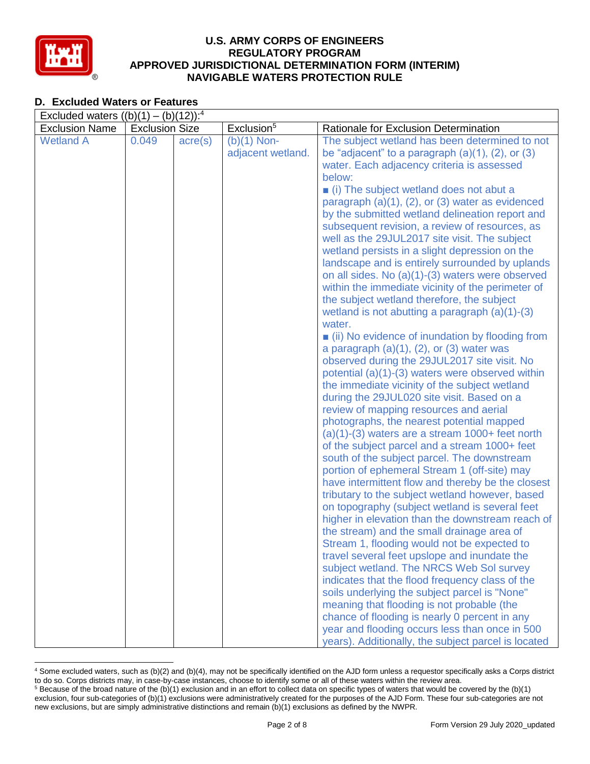

# **D. Excluded Waters or Features**

| Excluded waters $((b)(1) - (b)(12))$ : <sup>4</sup> |                       |                  |                        |                                                                                                   |
|-----------------------------------------------------|-----------------------|------------------|------------------------|---------------------------------------------------------------------------------------------------|
| <b>Exclusion Name</b>                               | <b>Exclusion Size</b> |                  | Exclusion <sup>5</sup> | Rationale for Exclusion Determination                                                             |
| <b>Wetland A</b>                                    | 0.049                 | $\text{acre}(s)$ | $(b)(1)$ Non-          | The subject wetland has been determined to not                                                    |
|                                                     |                       |                  | adjacent wetland.      | be "adjacent" to a paragraph $(a)(1)$ , $(2)$ , or $(3)$                                          |
|                                                     |                       |                  |                        | water. Each adjacency criteria is assessed                                                        |
|                                                     |                       |                  |                        | below:                                                                                            |
|                                                     |                       |                  |                        | (i) The subject wetland does not abut a                                                           |
|                                                     |                       |                  |                        | paragraph $(a)(1)$ , $(2)$ , or $(3)$ water as evidenced                                          |
|                                                     |                       |                  |                        | by the submitted wetland delineation report and                                                   |
|                                                     |                       |                  |                        | subsequent revision, a review of resources, as                                                    |
|                                                     |                       |                  |                        | well as the 29JUL2017 site visit. The subject                                                     |
|                                                     |                       |                  |                        | wetland persists in a slight depression on the                                                    |
|                                                     |                       |                  |                        | landscape and is entirely surrounded by uplands                                                   |
|                                                     |                       |                  |                        | on all sides. No (a)(1)-(3) waters were observed                                                  |
|                                                     |                       |                  |                        | within the immediate vicinity of the perimeter of                                                 |
|                                                     |                       |                  |                        | the subject wetland therefore, the subject                                                        |
|                                                     |                       |                  |                        | wetland is not abutting a paragraph $(a)(1)-(3)$                                                  |
|                                                     |                       |                  |                        | water.                                                                                            |
|                                                     |                       |                  |                        | $\blacksquare$ (ii) No evidence of inundation by flooding from                                    |
|                                                     |                       |                  |                        | a paragraph $(a)(1)$ , $(2)$ , or $(3)$ water was<br>observed during the 29JUL2017 site visit. No |
|                                                     |                       |                  |                        | potential (a)(1)-(3) waters were observed within                                                  |
|                                                     |                       |                  |                        | the immediate vicinity of the subject wetland                                                     |
|                                                     |                       |                  |                        | during the 29JUL020 site visit. Based on a                                                        |
|                                                     |                       |                  |                        | review of mapping resources and aerial                                                            |
|                                                     |                       |                  |                        | photographs, the nearest potential mapped                                                         |
|                                                     |                       |                  |                        | $(a)(1)-(3)$ waters are a stream $1000+$ feet north                                               |
|                                                     |                       |                  |                        | of the subject parcel and a stream 1000+ feet                                                     |
|                                                     |                       |                  |                        | south of the subject parcel. The downstream                                                       |
|                                                     |                       |                  |                        | portion of ephemeral Stream 1 (off-site) may                                                      |
|                                                     |                       |                  |                        | have intermittent flow and thereby be the closest                                                 |
|                                                     |                       |                  |                        | tributary to the subject wetland however, based                                                   |
|                                                     |                       |                  |                        | on topography (subject wetland is several feet                                                    |
|                                                     |                       |                  |                        | higher in elevation than the downstream reach of                                                  |
|                                                     |                       |                  |                        | the stream) and the small drainage area of                                                        |
|                                                     |                       |                  |                        | Stream 1, flooding would not be expected to                                                       |
|                                                     |                       |                  |                        | travel several feet upslope and inundate the                                                      |
|                                                     |                       |                  |                        | subject wetland. The NRCS Web Sol survey                                                          |
|                                                     |                       |                  |                        | indicates that the flood frequency class of the                                                   |
|                                                     |                       |                  |                        | soils underlying the subject parcel is "None"                                                     |
|                                                     |                       |                  |                        | meaning that flooding is not probable (the                                                        |
|                                                     |                       |                  |                        | chance of flooding is nearly 0 percent in any                                                     |
|                                                     |                       |                  |                        | year and flooding occurs less than once in 500                                                    |
|                                                     |                       |                  |                        | years). Additionally, the subject parcel is located                                               |

 <sup>4</sup> Some excluded waters, such as (b)(2) and (b)(4), may not be specifically identified on the AJD form unless a requestor specifically asks a Corps district to do so. Corps districts may, in case-by-case instances, choose to identify some or all of these waters within the review area.  $5$  Because of the broad nature of the (b)(1) exclusion and in an effort to collect data on specific types of waters that would be covered by the (b)(1)

exclusion, four sub-categories of (b)(1) exclusions were administratively created for the purposes of the AJD Form. These four sub-categories are not new exclusions, but are simply administrative distinctions and remain (b)(1) exclusions as defined by the NWPR.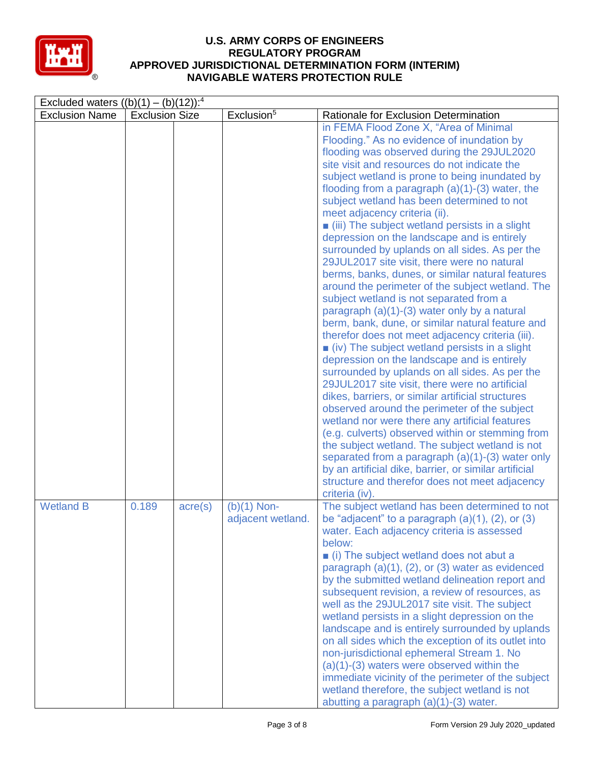

| Excluded waters $((b)(1) - (b)(12))$ : <sup>4</sup> |                       |                  |                                    |                                                                                                                                                                                                                                                                                                                                                                                                                                                                                                                                                                                                                                                                                                                                                                                                                                                                                                                                                                                                                                                                                                                                                                                                                                                                                                                                                                                                                                                                                                                                                             |
|-----------------------------------------------------|-----------------------|------------------|------------------------------------|-------------------------------------------------------------------------------------------------------------------------------------------------------------------------------------------------------------------------------------------------------------------------------------------------------------------------------------------------------------------------------------------------------------------------------------------------------------------------------------------------------------------------------------------------------------------------------------------------------------------------------------------------------------------------------------------------------------------------------------------------------------------------------------------------------------------------------------------------------------------------------------------------------------------------------------------------------------------------------------------------------------------------------------------------------------------------------------------------------------------------------------------------------------------------------------------------------------------------------------------------------------------------------------------------------------------------------------------------------------------------------------------------------------------------------------------------------------------------------------------------------------------------------------------------------------|
| <b>Exclusion Name</b>                               | <b>Exclusion Size</b> |                  | Exclusion <sup>5</sup>             | Rationale for Exclusion Determination                                                                                                                                                                                                                                                                                                                                                                                                                                                                                                                                                                                                                                                                                                                                                                                                                                                                                                                                                                                                                                                                                                                                                                                                                                                                                                                                                                                                                                                                                                                       |
|                                                     |                       |                  |                                    | in FEMA Flood Zone X, "Area of Minimal<br>Flooding." As no evidence of inundation by<br>flooding was observed during the 29JUL2020<br>site visit and resources do not indicate the<br>subject wetland is prone to being inundated by<br>flooding from a paragraph $(a)(1)-(3)$ water, the<br>subject wetland has been determined to not<br>meet adjacency criteria (ii).<br>■ (iii) The subject wetland persists in a slight<br>depression on the landscape and is entirely<br>surrounded by uplands on all sides. As per the<br>29JUL2017 site visit, there were no natural<br>berms, banks, dunes, or similar natural features<br>around the perimeter of the subject wetland. The<br>subject wetland is not separated from a<br>paragraph (a)(1)-(3) water only by a natural<br>berm, bank, dune, or similar natural feature and<br>therefor does not meet adjacency criteria (iii).<br>$\blacksquare$ (iv) The subject wetland persists in a slight<br>depression on the landscape and is entirely<br>surrounded by uplands on all sides. As per the<br>29JUL2017 site visit, there were no artificial<br>dikes, barriers, or similar artificial structures<br>observed around the perimeter of the subject<br>wetland nor were there any artificial features<br>(e.g. culverts) observed within or stemming from<br>the subject wetland. The subject wetland is not<br>separated from a paragraph $(a)(1)-(3)$ water only<br>by an artificial dike, barrier, or similar artificial<br>structure and therefor does not meet adjacency<br>criteria (iv). |
| <b>Wetland B</b>                                    | 0.189                 | $\text{acre}(s)$ | $(b)(1)$ Non-<br>adjacent wetland. | The subject wetland has been determined to not<br>be "adjacent" to a paragraph $(a)(1)$ , $(2)$ , or $(3)$<br>water. Each adjacency criteria is assessed<br>below:<br>■ (i) The subject wetland does not abut a<br>paragraph $(a)(1)$ , $(2)$ , or $(3)$ water as evidenced<br>by the submitted wetland delineation report and<br>subsequent revision, a review of resources, as<br>well as the 29JUL2017 site visit. The subject<br>wetland persists in a slight depression on the<br>landscape and is entirely surrounded by uplands<br>on all sides which the exception of its outlet into<br>non-jurisdictional ephemeral Stream 1. No<br>$(a)(1)-(3)$ waters were observed within the<br>immediate vicinity of the perimeter of the subject<br>wetland therefore, the subject wetland is not<br>abutting a paragraph $(a)(1)-(3)$ water.                                                                                                                                                                                                                                                                                                                                                                                                                                                                                                                                                                                                                                                                                                               |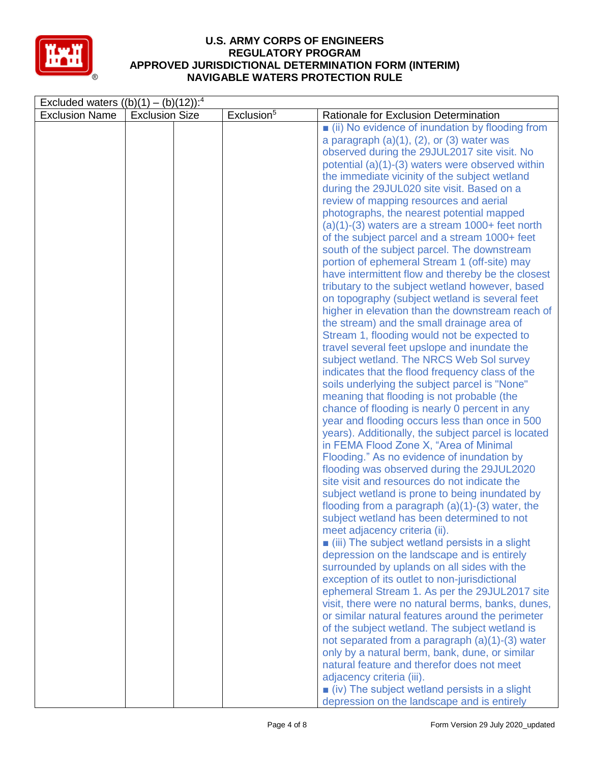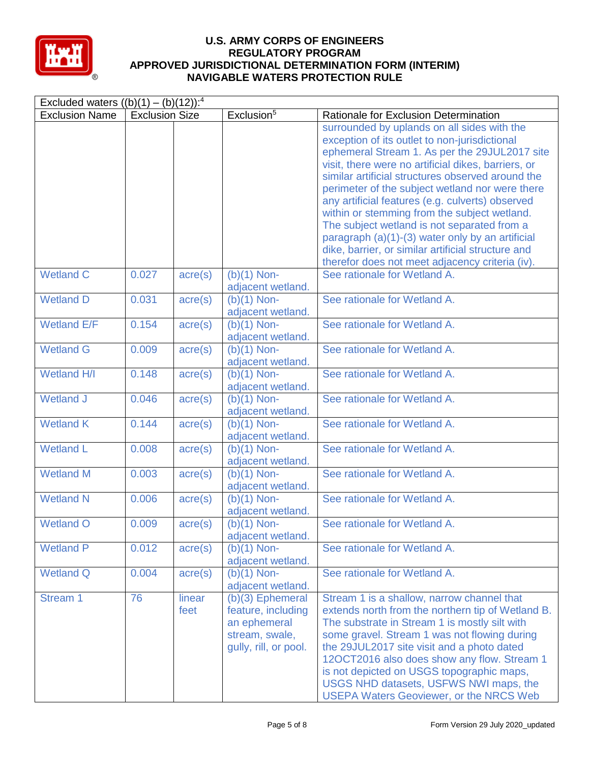

| Excluded waters $((b)(1) - (b)(12))$ : <sup>4</sup> |                       |                  |                                                                                                     |                                                                                                                                                                                                                                                                                                                                                                                                                                                                                                                                                                                                                              |
|-----------------------------------------------------|-----------------------|------------------|-----------------------------------------------------------------------------------------------------|------------------------------------------------------------------------------------------------------------------------------------------------------------------------------------------------------------------------------------------------------------------------------------------------------------------------------------------------------------------------------------------------------------------------------------------------------------------------------------------------------------------------------------------------------------------------------------------------------------------------------|
| <b>Exclusion Name</b>                               | <b>Exclusion Size</b> |                  | Exclusion <sup>5</sup>                                                                              | Rationale for Exclusion Determination                                                                                                                                                                                                                                                                                                                                                                                                                                                                                                                                                                                        |
|                                                     |                       |                  |                                                                                                     | surrounded by uplands on all sides with the<br>exception of its outlet to non-jurisdictional<br>ephemeral Stream 1. As per the 29JUL2017 site<br>visit, there were no artificial dikes, barriers, or<br>similar artificial structures observed around the<br>perimeter of the subject wetland nor were there<br>any artificial features (e.g. culverts) observed<br>within or stemming from the subject wetland.<br>The subject wetland is not separated from a<br>paragraph (a)(1)-(3) water only by an artificial<br>dike, barrier, or similar artificial structure and<br>therefor does not meet adjacency criteria (iv). |
| <b>Wetland C</b>                                    | 0.027                 | $\text{acre}(s)$ | $(b)(1)$ Non-<br>adjacent wetland.                                                                  | See rationale for Wetland A.                                                                                                                                                                                                                                                                                                                                                                                                                                                                                                                                                                                                 |
| <b>Wetland D</b>                                    | 0.031                 | $\text{acre}(s)$ | $(b)(1)$ Non-<br>adjacent wetland.                                                                  | See rationale for Wetland A.                                                                                                                                                                                                                                                                                                                                                                                                                                                                                                                                                                                                 |
| <b>Wetland E/F</b>                                  | 0.154                 | $\text{acre}(s)$ | $(b)(1)$ Non-<br>adjacent wetland.                                                                  | See rationale for Wetland A.                                                                                                                                                                                                                                                                                                                                                                                                                                                                                                                                                                                                 |
| <b>Wetland G</b>                                    | 0.009                 | $\text{acre}(s)$ | $(b)(1)$ Non-<br>adjacent wetland.                                                                  | See rationale for Wetland A.                                                                                                                                                                                                                                                                                                                                                                                                                                                                                                                                                                                                 |
| Wetland H/I                                         | 0.148                 | $\text{acre}(s)$ | $(b)(1)$ Non-<br>adjacent wetland.                                                                  | See rationale for Wetland A.                                                                                                                                                                                                                                                                                                                                                                                                                                                                                                                                                                                                 |
| <b>Wetland J</b>                                    | 0.046                 | $\text{acre}(s)$ | $(b)(1)$ Non-<br>adjacent wetland.                                                                  | See rationale for Wetland A.                                                                                                                                                                                                                                                                                                                                                                                                                                                                                                                                                                                                 |
| <b>Wetland K</b>                                    | 0.144                 | $\text{acre}(s)$ | $(b)(1)$ Non-<br>adjacent wetland.                                                                  | See rationale for Wetland A.                                                                                                                                                                                                                                                                                                                                                                                                                                                                                                                                                                                                 |
| <b>Wetland L</b>                                    | 0.008                 | $\text{acre}(s)$ | $(b)(1)$ Non-<br>adjacent wetland.                                                                  | See rationale for Wetland A.                                                                                                                                                                                                                                                                                                                                                                                                                                                                                                                                                                                                 |
| <b>Wetland M</b>                                    | 0.003                 | $\text{acre}(s)$ | $(b)(1)$ Non-<br>adjacent wetland.                                                                  | See rationale for Wetland A.                                                                                                                                                                                                                                                                                                                                                                                                                                                                                                                                                                                                 |
| <b>Wetland N</b>                                    | 0.006                 | $\text{acre}(s)$ | $(b)(1)$ Non-<br>adjacent wetland.                                                                  | See rationale for Wetland A.                                                                                                                                                                                                                                                                                                                                                                                                                                                                                                                                                                                                 |
| <b>Wetland O</b>                                    | 0.009                 | $\text{acre}(s)$ | $(b)(1)$ Non-<br>adjacent wetland.                                                                  | See rationale for Wetland A.                                                                                                                                                                                                                                                                                                                                                                                                                                                                                                                                                                                                 |
| <b>Wetland P</b>                                    | 0.012                 | $\text{acre}(s)$ | $(b)(1)$ Non-<br>adjacent wetland.                                                                  | See rationale for Wetland A.                                                                                                                                                                                                                                                                                                                                                                                                                                                                                                                                                                                                 |
| <b>Wetland Q</b>                                    | 0.004                 | $\text{acre}(s)$ | $(b)(1)$ Non-<br>adjacent wetland.                                                                  | See rationale for Wetland A.                                                                                                                                                                                                                                                                                                                                                                                                                                                                                                                                                                                                 |
| Stream 1                                            | 76                    | linear<br>feet   | $(b)(3)$ Ephemeral<br>feature, including<br>an ephemeral<br>stream, swale,<br>gully, rill, or pool. | Stream 1 is a shallow, narrow channel that<br>extends north from the northern tip of Wetland B.<br>The substrate in Stream 1 is mostly silt with<br>some gravel. Stream 1 was not flowing during<br>the 29JUL2017 site visit and a photo dated<br>12OCT2016 also does show any flow. Stream 1<br>is not depicted on USGS topographic maps,<br>USGS NHD datasets, USFWS NWI maps, the<br><b>USEPA Waters Geoviewer, or the NRCS Web</b>                                                                                                                                                                                       |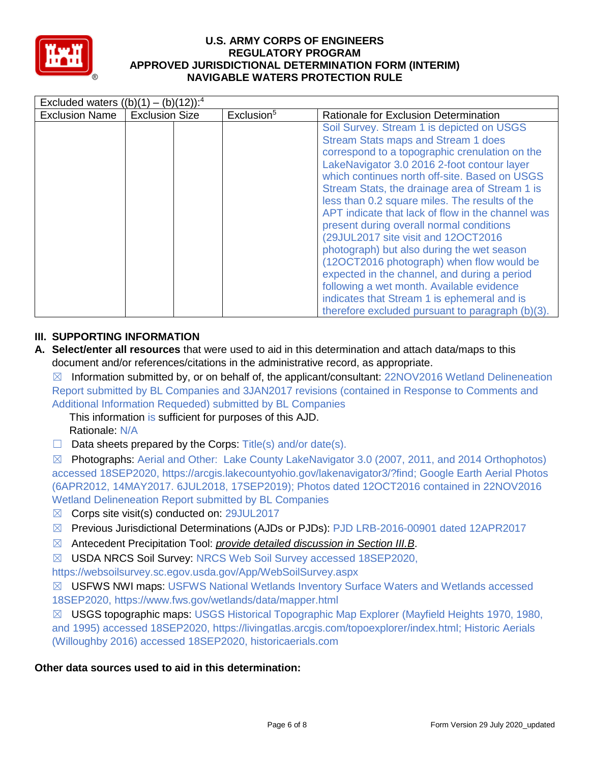

| <b>Exclusion Name</b><br><b>Exclusion Size</b><br>Exclusion <sup>5</sup> | Rationale for Exclusion Determination                                                                                                                                                                                                                                                                                                                                                                                                                                                                                                                                                                                                                                                                                                                                            |
|--------------------------------------------------------------------------|----------------------------------------------------------------------------------------------------------------------------------------------------------------------------------------------------------------------------------------------------------------------------------------------------------------------------------------------------------------------------------------------------------------------------------------------------------------------------------------------------------------------------------------------------------------------------------------------------------------------------------------------------------------------------------------------------------------------------------------------------------------------------------|
|                                                                          | Soil Survey. Stream 1 is depicted on USGS<br><b>Stream Stats maps and Stream 1 does</b><br>correspond to a topographic crenulation on the<br>LakeNavigator 3.0 2016 2-foot contour layer<br>which continues north off-site. Based on USGS<br>Stream Stats, the drainage area of Stream 1 is<br>less than 0.2 square miles. The results of the<br>APT indicate that lack of flow in the channel was<br>present during overall normal conditions<br>(29JUL2017 site visit and 12OCT2016<br>photograph) but also during the wet season<br>(12OCT2016 photograph) when flow would be<br>expected in the channel, and during a period<br>following a wet month. Available evidence<br>indicates that Stream 1 is ephemeral and is<br>therefore excluded pursuant to paragraph (b)(3). |

# **III. SUPPORTING INFORMATION**

**A. Select/enter all resources** that were used to aid in this determination and attach data/maps to this document and/or references/citations in the administrative record, as appropriate.

☒ Information submitted by, or on behalf of, the applicant/consultant: 22NOV2016 Wetland Delineneation Report submitted by BL Companies and 3JAN2017 revisions (contained in Response to Comments and Additional Information Requeded) submitted by BL Companies

This information is sufficient for purposes of this AJD.

Rationale: N/A

 $\Box$  Data sheets prepared by the Corps: Title(s) and/or date(s).

☒ Photographs: Aerial and Other: Lake County LakeNavigator 3.0 (2007, 2011, and 2014 Orthophotos) accessed 18SEP2020, https://arcgis.lakecountyohio.gov/lakenavigator3/?find; Google Earth Aerial Photos (6APR2012, 14MAY2017. 6JUL2018, 17SEP2019); Photos dated 12OCT2016 contained in 22NOV2016 Wetland Delineneation Report submitted by BL Companies

- ☒ Corps site visit(s) conducted on: 29JUL2017
- ☒ Previous Jurisdictional Determinations (AJDs or PJDs): PJD LRB-2016-00901 dated 12APR2017
- ☒ Antecedent Precipitation Tool: *provide detailed discussion in Section III.B*.
- ☒ USDA NRCS Soil Survey: NRCS Web Soil Survey accessed 18SEP2020,

https://websoilsurvey.sc.egov.usda.gov/App/WebSoilSurvey.aspx

☒ USFWS NWI maps: USFWS National Wetlands Inventory Surface Waters and Wetlands accessed 18SEP2020, https://www.fws.gov/wetlands/data/mapper.html

☒ USGS topographic maps: USGS Historical Topographic Map Explorer (Mayfield Heights 1970, 1980, and 1995) accessed 18SEP2020, https://livingatlas.arcgis.com/topoexplorer/index.html; Historic Aerials (Willoughby 2016) accessed 18SEP2020, historicaerials.com

## **Other data sources used to aid in this determination:**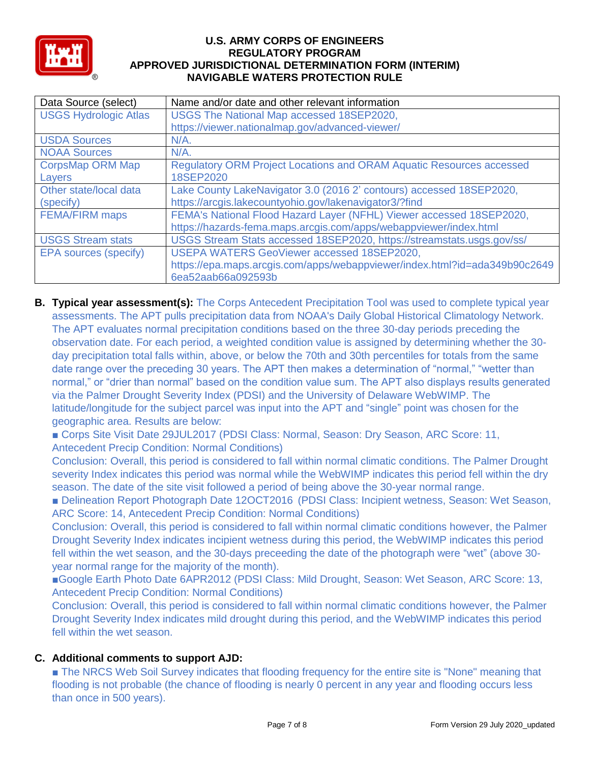

| Data Source (select)         | Name and/or date and other relevant information                             |
|------------------------------|-----------------------------------------------------------------------------|
| <b>USGS Hydrologic Atlas</b> | USGS The National Map accessed 18SEP2020,                                   |
|                              | https://viewer.nationalmap.gov/advanced-viewer/                             |
| <b>USDA Sources</b>          | $N/A$ .                                                                     |
| <b>NOAA Sources</b>          | $N/A$ .                                                                     |
| <b>CorpsMap ORM Map</b>      | <b>Regulatory ORM Project Locations and ORAM Aquatic Resources accessed</b> |
| Layers                       | 18SEP2020                                                                   |
| Other state/local data       | Lake County LakeNavigator 3.0 (2016 2' contours) accessed 18SEP2020,        |
| (specify)                    | https://arcgis.lakecountyohio.gov/lakenavigator3/?find                      |
| <b>FEMA/FIRM maps</b>        | FEMA's National Flood Hazard Layer (NFHL) Viewer accessed 18SEP2020,        |
|                              | https://hazards-fema.maps.arcgis.com/apps/webappviewer/index.html           |
| <b>USGS Stream stats</b>     | USGS Stream Stats accessed 18SEP2020, https://streamstats.usgs.gov/ss/      |
| EPA sources (specify)        | USEPA WATERS GeoViewer accessed 18SEP2020,                                  |
|                              | https://epa.maps.arcgis.com/apps/webappviewer/index.html?id=ada349b90c2649  |
|                              | 6ea52aab66a092593b                                                          |

**B. Typical year assessment(s):** The Corps Antecedent Precipitation Tool was used to complete typical year assessments. The APT pulls precipitation data from NOAA's Daily Global Historical Climatology Network. The APT evaluates normal precipitation conditions based on the three 30-day periods preceding the observation date. For each period, a weighted condition value is assigned by determining whether the 30 day precipitation total falls within, above, or below the 70th and 30th percentiles for totals from the same date range over the preceding 30 years. The APT then makes a determination of "normal," "wetter than normal," or "drier than normal" based on the condition value sum. The APT also displays results generated via the Palmer Drought Severity Index (PDSI) and the University of Delaware WebWIMP. The latitude/longitude for the subject parcel was input into the APT and "single" point was chosen for the geographic area. Results are below:

■ Corps Site Visit Date 29JUL2017 (PDSI Class: Normal, Season: Dry Season, ARC Score: 11, Antecedent Precip Condition: Normal Conditions)

Conclusion: Overall, this period is considered to fall within normal climatic conditions. The Palmer Drought severity Index indicates this period was normal while the WebWIMP indicates this period fell within the dry season. The date of the site visit followed a period of being above the 30-year normal range.

■ Delineation Report Photograph Date 12OCT2016 (PDSI Class: Incipient wetness, Season: Wet Season, ARC Score: 14, Antecedent Precip Condition: Normal Conditions)

Conclusion: Overall, this period is considered to fall within normal climatic conditions however, the Palmer Drought Severity Index indicates incipient wetness during this period, the WebWIMP indicates this period fell within the wet season, and the 30-days preceeding the date of the photograph were "wet" (above 30 year normal range for the majority of the month).

■Google Earth Photo Date 6APR2012 (PDSI Class: Mild Drought, Season: Wet Season, ARC Score: 13, Antecedent Precip Condition: Normal Conditions)

Conclusion: Overall, this period is considered to fall within normal climatic conditions however, the Palmer Drought Severity Index indicates mild drought during this period, and the WebWIMP indicates this period fell within the wet season.

# **C. Additional comments to support AJD:**

■ The NRCS Web Soil Survey indicates that flooding frequency for the entire site is "None" meaning that flooding is not probable (the chance of flooding is nearly 0 percent in any year and flooding occurs less than once in 500 years).